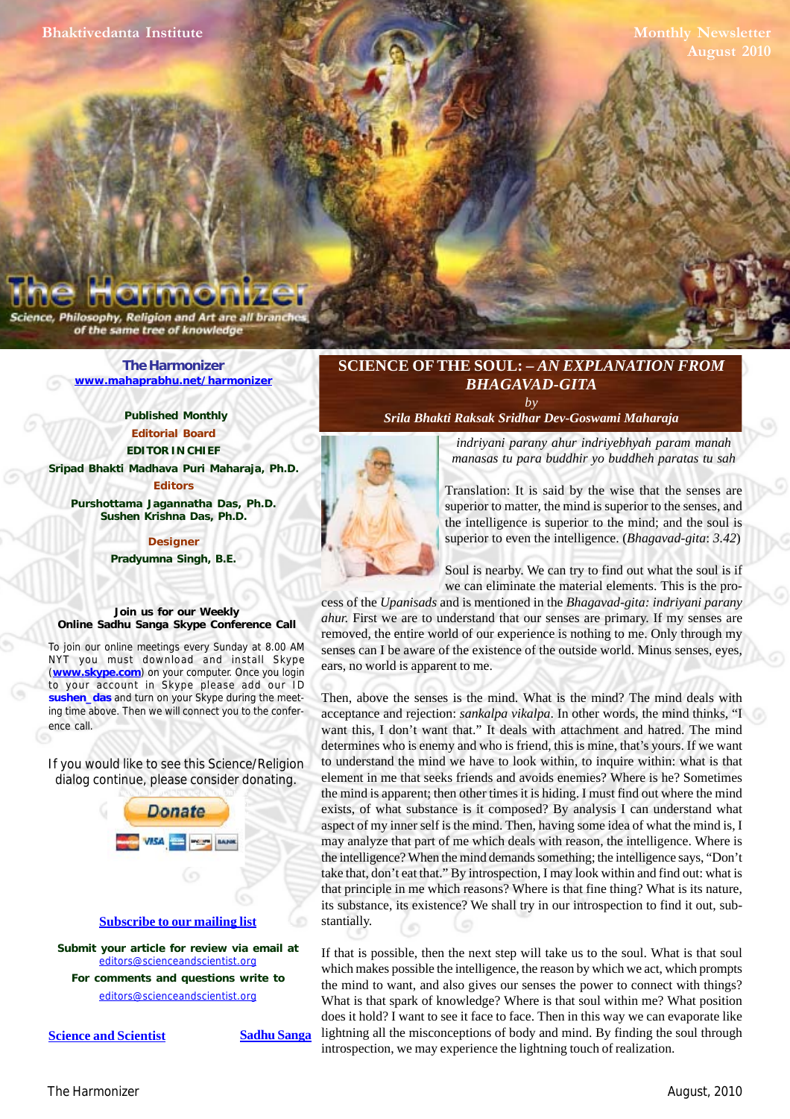Philosophy, Religion and Art are all bran of the same tree of knowledge

> **[The Harmonizer](http://www.mahaprabhu.net/satsanga/harmonizer/) www.mahaprabhu.net/harmonizer**

> > **Published Monthly Editorial Board EDITOR IN CHIEF**

**[Sripad Bhakti Madhava Puri Maharaja, Ph.D.](http://groups.google.co.in/group/Online_Sadhu_Sanga/web/affectionate-guardians)**

**Editors Purshottama Jagannatha Das, Ph.D. Sushen Krishna Das, Ph.D.**

> **Designer Pradyumna Singh, B.E.**

**Join us for our Weekly Online Sadhu Sanga Skype Conference Call**

To join our online meetings every Sunday at 8.00 AM NYT you must download and install Skype (**www.skype.com**) on your computer. Once you login to your account in Skype please add our ID **sushen\_das** and turn on your Skype during the meeting time above. Then we will connect you to the conference call.

If you would like to see this Science/Religion dialog continue, please consider donating.



**Submit your article for review via email at** editors@scienceandscientist.org

**For comments and questions write to** editors@scienceandscientist.org

**<u>Science and Scientist</u> Sadhu Sanga** 

## **SCIENCE OF THE SOUL: –** *AN EXPLANATION FROM BHAGAVAD-GITA*

 $b<sub>y</sub>$ *Srila Bhakti Raksak Sridhar Dev-Goswami Maharaja*



*indriyani parany ahur indriyebhyah param manah manasas tu para buddhir yo buddheh paratas tu sah*

superior to matter, the mind is superior to the senses, and Translation: It is said by the wise that the senses are the intelligence is superior to the mind; and the soul is superior to even the intelligence. (*Bhagavad-gita*: *3.42*)

Soul is nearby. We can try to find out what the soul is if we can eliminate the material elements. This is the pro-

cess of the *Upanisads* and is mentioned in the *Bhagavad-gita: indriyani parany ahur.* First we are to understand that our senses are primary. If my senses are removed, the entire world of our experience is nothing to me. Only through my senses can I be aware of the existence of the outside world. Minus senses, eyes, ears, no world is apparent to me.

Then, above the senses is the mind. What is the mind? The mind deals with acceptance and rejection: *sankalpa vikalpa*. In other words, the mind thinks, "I want this, I don't want that." It deals with attachment and hatred. The mind determines who is enemy and who is friend, this is mine, that's yours. If we want to understand the mind we have to look within, to inquire within: what is that element in me that seeks friends and avoids enemies? Where is he? Sometimes the mind is apparent; then other times it is hiding. I must find out where the mind exists, of what substance is it composed? By analysis I can understand what aspect of my inner self is the mind. Then, having some idea of what the mind is, I may analyze that part of me which deals with reason, the intelligence. Where is the intelligence? When the mind demands something; the intelligence says, "Don't take that, don't eat that." By introspection, I may look within and find out: what is that principle in me which reasons? Where is that fine thing? What is its nature, its substance, its existence? We shall try in our introspection to find it out, substantially.

If that is possible, then the next step will take us to the soul. What is that soul which makes possible the intelligence, the reason by which we act, which prompts the mind to want, and also gives our senses the power to connect with things? What is that spark of knowledge? Where is that soul within me? What position does it hold? I want to see it face to face. Then in this way we can evaporate like lightning all the misconceptions of body and mind. By finding the soul through introspection, we may experience the lightning touch of realization.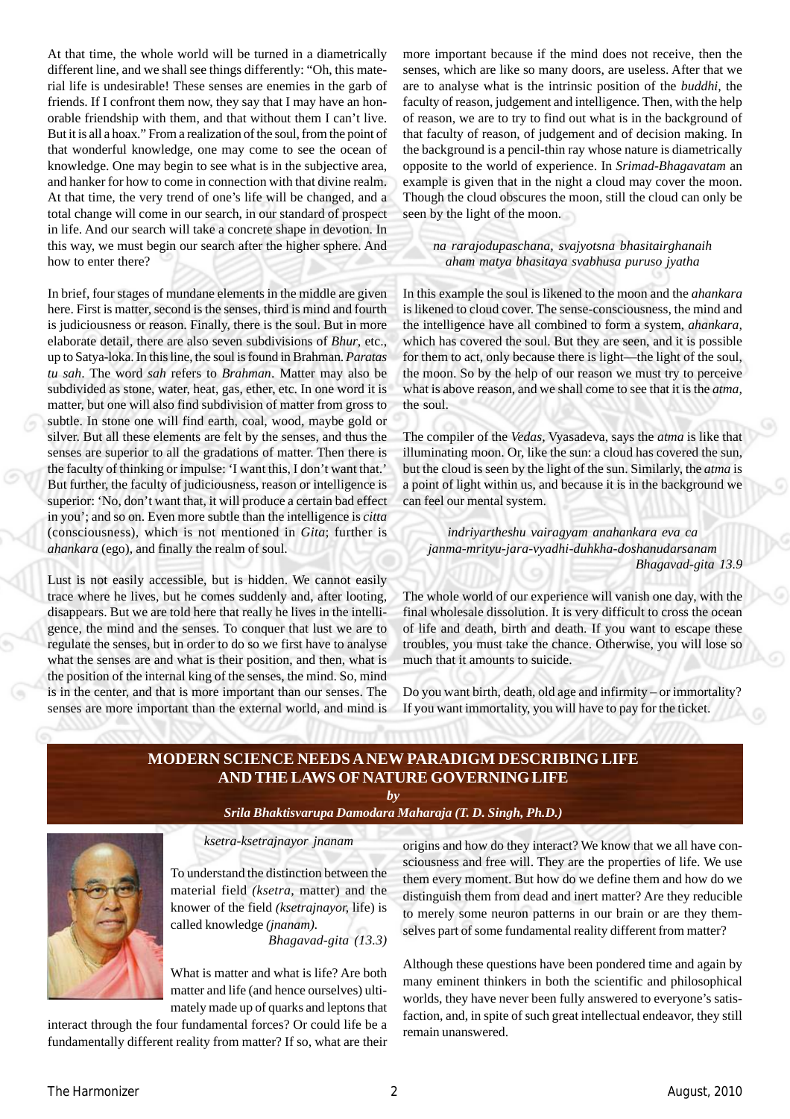At that time, the whole world will be turned in a diametrically different line, and we shall see things differently: "Oh, this material life is undesirable! These senses are enemies in the garb of friends. If I confront them now, they say that I may have an honorable friendship with them, and that without them I can't live. But it is all a hoax." From a realization of the soul, from the point of that wonderful knowledge, one may come to see the ocean of knowledge. One may begin to see what is in the subjective area, and hanker for how to come in connection with that divine realm. At that time, the very trend of one's life will be changed, and a total change will come in our search, in our standard of prospect in life. And our search will take a concrete shape in devotion. In this way, we must begin our search after the higher sphere. And how to enter there?

In brief, four stages of mundane elements in the middle are given here. First is matter, second is the senses, third is mind and fourth is judiciousness or reason. Finally, there is the soul. But in more elaborate detail, there are also seven subdivisions of *Bhur*, etc., up to Satya-loka. In this line, the soul is found in Brahman. *Paratas tu sah*. The word *sah* refers to *Brahman*. Matter may also be subdivided as stone, water, heat, gas, ether, etc. In one word it is matter, but one will also find subdivision of matter from gross to subtle. In stone one will find earth, coal, wood, maybe gold or silver. But all these elements are felt by the senses, and thus the senses are superior to all the gradations of matter. Then there is the faculty of thinking or impulse: 'I want this, I don't want that.' But further, the faculty of judiciousness, reason or intelligence is superior: 'No, don't want that, it will produce a certain bad effect in you'; and so on. Even more subtle than the intelligence is *citta* (consciousness), which is not mentioned in *Gita*; further is *ahankara* (ego), and finally the realm of soul.

Lust is not easily accessible, but is hidden. We cannot easily trace where he lives, but he comes suddenly and, after looting, disappears. But we are told here that really he lives in the intelligence, the mind and the senses. To conquer that lust we are to regulate the senses, but in order to do so we first have to analyse what the senses are and what is their position, and then, what is the position of the internal king of the senses, the mind. So, mind is in the center, and that is more important than our senses. The senses are more important than the external world, and mind is

more important because if the mind does not receive, then the senses, which are like so many doors, are useless. After that we are to analyse what is the intrinsic position of the *buddhi,* the faculty of reason, judgement and intelligence. Then, with the help of reason, we are to try to find out what is in the background of that faculty of reason, of judgement and of decision making. In the background is a pencil-thin ray whose nature is diametrically opposite to the world of experience. In *Srimad-Bhagavatam* an example is given that in the night a cloud may cover the moon. Though the cloud obscures the moon, still the cloud can only be seen by the light of the moon.

### *na rarajodupaschana, svajyotsna bhasitairghanaih aham matya bhasitaya svabhusa puruso jyatha*

In this example the soul is likened to the moon and the *ahankara* is likened to cloud cover. The sense-consciousness, the mind and the intelligence have all combined to form a system, *ahankara,* which has covered the soul. But they are seen, and it is possible for them to act, only because there is light—the light of the soul, the moon. So by the help of our reason we must try to perceive what is above reason, and we shall come to see that it is the *atma,* the soul.

The compiler of the *Vedas*, Vyasadeva, says the *atma* is like that illuminating moon. Or, like the sun: a cloud has covered the sun, but the cloud is seen by the light of the sun. Similarly, the *atma* is a point of light within us, and because it is in the background we can feel our mental system.

## *indriyartheshu vairagyam anahankara eva ca janma-mrityu-jara-vyadhi-duhkha-doshanudarsanam Bhagavad-gita 13.9*

The whole world of our experience will vanish one day, with the final wholesale dissolution. It is very difficult to cross the ocean of life and death, birth and death. If you want to escape these troubles, you must take the chance. Otherwise, you will lose so much that it amounts to suicide.

Do you want birth, death, old age and infirmity – or immortality? If you want immortality, you will have to pay for the ticket.

## **MODERN SCIENCE NEEDS A NEW PARADIGM DESCRIBING LIFE AND THE LAWS OF NATURE GOVERNING LIFE**

*by*

*[Srila Bhaktisvarupa Damodara Maharaja \(T. D. Singh, Ph.D.\)](http://groups.google.co.in/group/Online_Sadhu_Sanga/web/affectionate-guardians)*



### *ksetra-ksetrajnayor jnanam*

To understand the distinction between the material field *(ksetra,* matter) and the knower of the field *(ksetrajnayor,* life) is called knowledge *(jnanam).*

*Bhagavad-gita (13.3)*

What is matter and what is life? Are both matter and life (and hence ourselves) ultimately made up of quarks and leptons that

interact through the four fundamental forces? Or could life be a fundamentally different reality from matter? If so, what are their origins and how do they interact? We know that we all have consciousness and free will. They are the properties of life. We use them every moment. But how do we define them and how do we distinguish them from dead and inert matter? Are they reducible to merely some neuron patterns in our brain or are they themselves part of some fundamental reality different from matter?

Although these questions have been pondered time and again by many eminent thinkers in both the scientific and philosophical worlds, they have never been fully answered to everyone's satisfaction, and, in spite of such great intellectual endeavor, they still remain unanswered.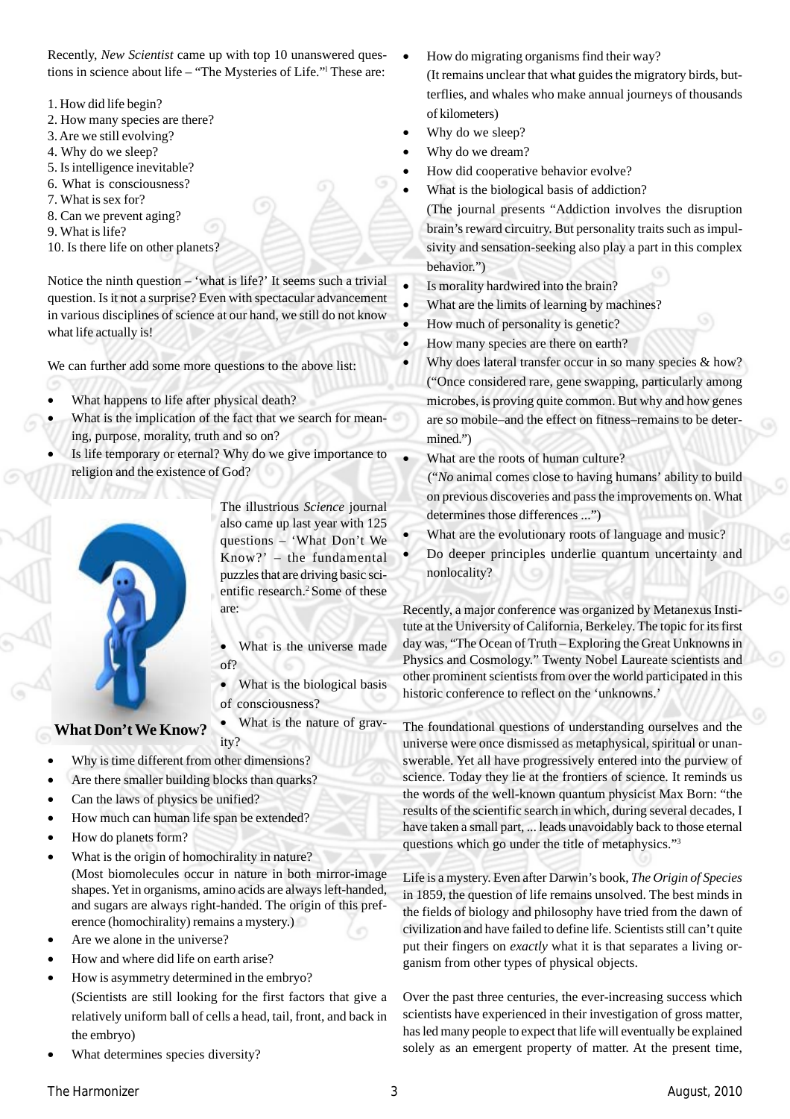Recently, *New Scientist* came up with top 10 unanswered questions in science about life – "The Mysteries of Life."l These are:

- 1. How did life begin?
- 2. How many species are there?
- 3. Are we still evolving?
- 4. Why do we sleep?
- 5. Is intelligence inevitable?
- 6. What is consciousness?
- 7. What is sex for?
- 8. Can we prevent aging?
- 9. What is life?
- 10. Is there life on other planets?

Notice the ninth question – 'what is life?' It seems such a trivial question. Is it not a surprise? Even with spectacular advancement in various disciplines of science at our hand, we still do not know what life actually is!

We can further add some more questions to the above list:

- What happens to life after physical death?
- What is the implication of the fact that we search for meaning, purpose, morality, truth and so on?
- Is life temporary or eternal? Why do we give importance to religion and the existence of God?



The illustrious *Science* journal also came up last year with 125 questions – 'What Don't We Know?' – the fundamental puzzles that are driving basic scientific research.<sup>2</sup> Some of these are:

- What is the universe made of?
- What is the biological basis of consciousness?

**What Don't We Know?**

What is the nature of gravity?

- Why is time different from other dimensions?
- Are there smaller building blocks than quarks?
- Can the laws of physics be unified?
- How much can human life span be extended?
- How do planets form?
- What is the origin of homochirality in nature? (Most biomolecules occur in nature in both mirror-image shapes. Yet in organisms, amino acids are always left-handed, and sugars are always right-handed. The origin of this preference (homochirality) remains a mystery.)
- Are we alone in the universe?
- How and where did life on earth arise?
- How is asymmetry determined in the embryo? (Scientists are still looking for the first factors that give a relatively uniform ball of cells a head, tail, front, and back in the embryo)
- What determines species diversity?
- How do migrating organisms find their way? (It remains unclear that what guides the migratory birds, butterflies, and whales who make annual journeys of thousands of kilometers)
- Why do we sleep?
- Why do we dream?
- How did cooperative behavior evolve?
- What is the biological basis of addiction?

(The journal presents "Addiction involves the disruption brain's reward circuitry. But personality traits such as impulsivity and sensation-seeking also play a part in this complex behavior.")

- Is morality hardwired into the brain?
- What are the limits of learning by machines?
- How much of personality is genetic?
- How many species are there on earth?
	- Why does lateral transfer occur in so many species  $&$  how? ("Once considered rare, gene swapping, particularly among microbes, is proving quite common. But why and how genes are so mobile–and the effect on fitness–remains to be determined.")
- What are the roots of human culture? ("*No* animal comes close to having humans' ability to build on previous discoveries and pass the improvements on. What determines those differences ...")
- What are the evolutionary roots of language and music?
- Do deeper principles underlie quantum uncertainty and nonlocality?

Recently, a major conference was organized by Metanexus Institute at the University of California, Berkeley. The topic for its first day was, "The Ocean of Truth – Exploring the Great Unknowns in Physics and Cosmology." Twenty Nobel Laureate scientists and other prominent scientists from over the world participated in this historic conference to reflect on the 'unknowns.'

The foundational questions of understanding ourselves and the universe were once dismissed as metaphysical, spiritual or unanswerable. Yet all have progressively entered into the purview of science. Today they lie at the frontiers of science. It reminds us the words of the well-known quantum physicist Max Born: "the results of the scientific search in which, during several decades, I have taken a small part, ... leads unavoidably back to those eternal questions which go under the title of metaphysics."3

Life is a mystery. Even after Darwin's book, *The Origin of Species* in 1859, the question of life remains unsolved. The best minds in the fields of biology and philosophy have tried from the dawn of civilization and have failed to define life. Scientists still can't quite put their fingers on *exactly* what it is that separates a living organism from other types of physical objects.

Over the past three centuries, the ever-increasing success which scientists have experienced in their investigation of gross matter, has led many people to expect that life will eventually be explained solely as an emergent property of matter. At the present time,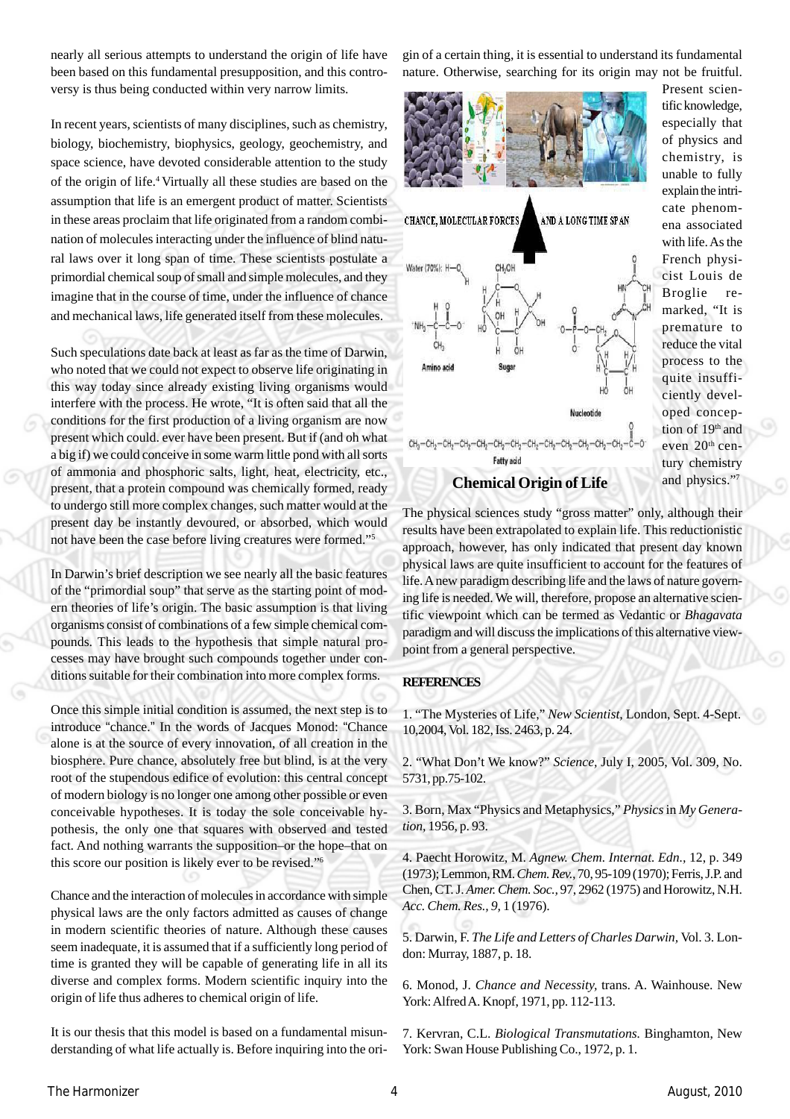nearly all serious attempts to understand the origin of life have been based on this fundamental presupposition, and this controversy is thus being conducted within very narrow limits.

In recent years, scientists of many disciplines, such as chemistry, biology, biochemistry, biophysics, geology, geochemistry, and space science, have devoted considerable attention to the study of the origin of life.4 Virtually all these studies are based on the assumption that life is an emergent product of matter. Scientists in these areas proclaim that life originated from a random combination of molecules interacting under the influence of blind natural laws over it long span of time. These scientists postulate a primordial chemical soup of small and simple molecules, and they imagine that in the course of time, under the influence of chance and mechanical laws, life generated itself from these molecules.

Such speculations date back at least as far as the time of Darwin, who noted that we could not expect to observe life originating in this way today since already existing living organisms would interfere with the process. He wrote, "It is often said that all the conditions for the first production of a living organism are now present which could. ever have been present. But if (and oh what a big if) we could conceive in some warm little pond with all sorts of ammonia and phosphoric salts, light, heat, electricity, etc., present, that a protein compound was chemically formed, ready to undergo still more complex changes, such matter would at the present day be instantly devoured, or absorbed, which would not have been the case before living creatures were formed."5

In Darwin's brief description we see nearly all the basic features of the "primordial soup" that serve as the starting point of modern theories of life's origin. The basic assumption is that living organisms consist of combinations of a few simple chemical compounds. This leads to the hypothesis that simple natural processes may have brought such compounds together under conditions suitable for their combination into more complex forms.

Once this simple initial condition is assumed, the next step is to introduce "chance." In the words of Jacques Monod: "Chance alone is at the source of every innovation, of all creation in the biosphere. Pure chance, absolutely free but blind, is at the very root of the stupendous edifice of evolution: this central concept of modern biology is no longer one among other possible or even conceivable hypotheses. It is today the sole conceivable hypothesis, the only one that squares with observed and tested fact. And nothing warrants the supposition–or the hope–that on this score our position is likely ever to be revised."6

Chance and the interaction of molecules in accordance with simple physical laws are the only factors admitted as causes of change in modern scientific theories of nature. Although these causes seem inadequate, it is assumed that if a sufficiently long period of time is granted they will be capable of generating life in all its diverse and complex forms. Modern scientific inquiry into the origin of life thus adheres to chemical origin of life.

It is our thesis that this model is based on a fundamental misunderstanding of what life actually is. Before inquiring into the origin of a certain thing, it is essential to understand its fundamental nature. Otherwise, searching for its origin may not be fruitful.



Present scientific knowledge, especially that of physics and chemistry, is unable to fully explain the intricate phenomena associated with life. As the French physicist Louis de Broglie remarked, "It is premature to reduce the vital process to the quite insufficiently developed conception of 19<sup>th</sup> and even 20<sup>th</sup> century chemistry and physics."7

The physical sciences study "gross matter" only, although their results have been extrapolated to explain life. This reductionistic approach, however, has only indicated that present day known physical laws are quite insufficient to account for the features of life. A new paradigm describing life and the laws of nature governing life is needed. We will, therefore, propose an alternative scientific viewpoint which can be termed as Vedantic or *Bhagavata* paradigm and will discuss the implications of this alternative viewpoint from a general perspective.

### **REFERENCES**

1. "The Mysteries of Life," *New Scientist,* London, Sept. 4-Sept. 10,2004, Vol. 182, Iss. 2463, p. 24.

2. "What Don't We know?" *Science,* July I, 2005, Vol. 309, No. 5731, pp.75-102.

3. Born, Max "Physics and Metaphysics," *Physics* in *My Generation,* 1956, p. 93.

4. Paecht Horowitz, M. *Agnew. Chem. Internat. Edn.,* 12, p. 349 (1973); Lemmon, RM. *Chem. Rev.,* 70, 95-109 (1970); Ferris, J.P. and Chen, CT. J. *Amer. Chem. Soc.,* 97, 2962 (1975) and Horowitz, N.H. *Acc. Chem. Res., 9,* 1 (1976).

5. Darwin, F. *The Life and Letters of Charles Darwin,* Vol. 3. London: Murray, 1887, p. 18.

6. Monod, J. *Chance and Necessity,* trans. A. Wainhouse. New York: Alfred A. Knopf, 1971, pp. 112-113.

7. Kervran, C.L. *Biological Transmutations.* Binghamton, New York: Swan House Publishing Co., 1972, p. 1.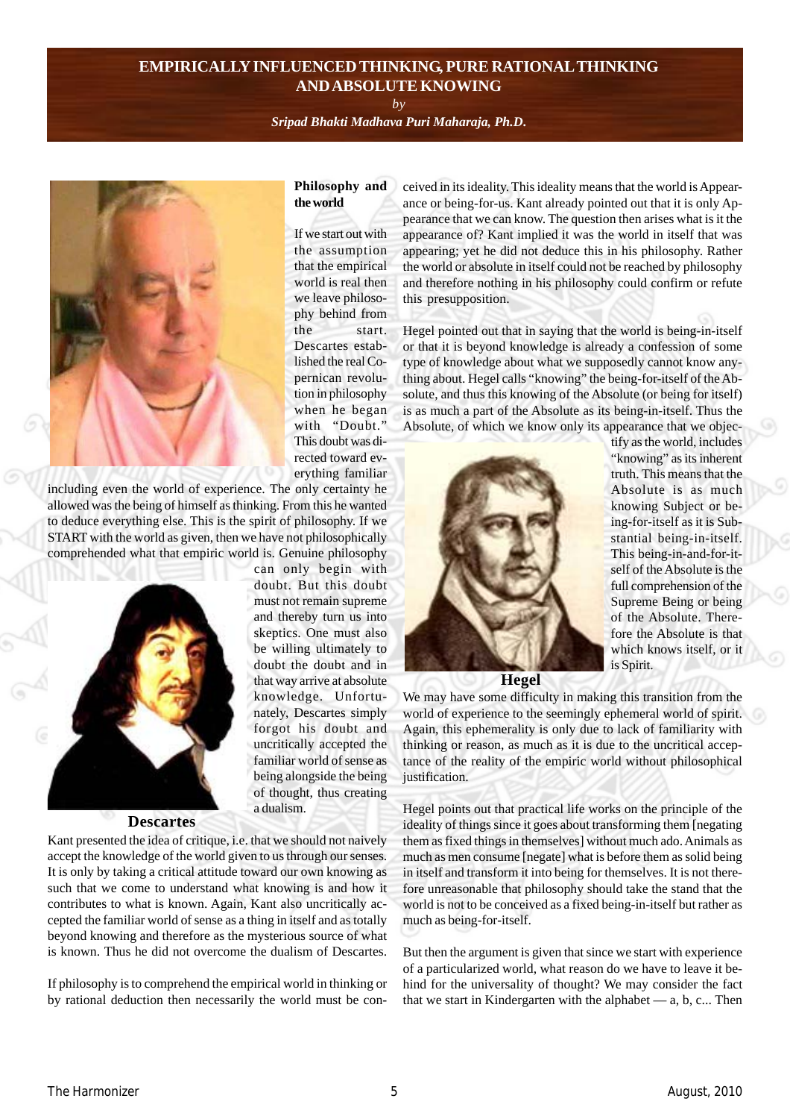# **EMPIRICALLY INFLUENCED THINKING, PURE RATIONAL THINKING AND ABSOLUTE KNOWING**

*by*

*[Sripad Bhakti Madhava Puri Maharaja, Ph.D](http://groups.google.co.in/group/Online_Sadhu_Sanga/web/affectionate-guardians)***.**



**Philosophy and the world**

If we start out with the assumption that the empirical world is real then we leave philosophy behind from the start. Descartes established the real Copernican revolution in philosophy when he began with "Doubt." This doubt was directed toward everything familiar

can only begin with doubt. But this doubt must not remain supreme and thereby turn us into skeptics. One must also be willing ultimately to doubt the doubt and in that way arrive at absolute knowledge. Unfortunately, Descartes simply forgot his doubt and uncritically accepted the familiar world of sense as being alongside the being of thought, thus creating

including even the world of experience. The only certainty he allowed was the being of himself as thinking. From this he wanted to deduce everything else. This is the spirit of philosophy. If we START with the world as given, then we have not philosophically comprehended what that empiric world is. Genuine philosophy



## **Descartes**

Kant presented the idea of critique, i.e. that we should not naively accept the knowledge of the world given to us through our senses. It is only by taking a critical attitude toward our own knowing as such that we come to understand what knowing is and how it contributes to what is known. Again, Kant also uncritically accepted the familiar world of sense as a thing in itself and as totally beyond knowing and therefore as the mysterious source of what is known. Thus he did not overcome the dualism of Descartes.

a dualism.

If philosophy is to comprehend the empirical world in thinking or by rational deduction then necessarily the world must be conceived in its ideality. This ideality means that the world is Appearance or being-for-us. Kant already pointed out that it is only Appearance that we can know. The question then arises what is it the appearance of? Kant implied it was the world in itself that was appearing; yet he did not deduce this in his philosophy. Rather the world or absolute in itself could not be reached by philosophy and therefore nothing in his philosophy could confirm or refute this presupposition.

Hegel pointed out that in saying that the world is being-in-itself or that it is beyond knowledge is already a confession of some type of knowledge about what we supposedly cannot know anything about. Hegel calls "knowing" the being-for-itself of the Absolute, and thus this knowing of the Absolute (or being for itself) is as much a part of the Absolute as its being-in-itself. Thus the Absolute, of which we know only its appearance that we objec-



tify as the world, includes "knowing" as its inherent truth. This means that the Absolute is as much knowing Subject or being-for-itself as it is Substantial being-in-itself. This being-in-and-for-itself of the Absolute is the full comprehension of the Supreme Being or being of the Absolute. Therefore the Absolute is that which knows itself, or it is Spirit.

**Hegel**

We may have some difficulty in making this transition from the world of experience to the seemingly ephemeral world of spirit. Again, this ephemerality is only due to lack of familiarity with thinking or reason, as much as it is due to the uncritical acceptance of the reality of the empiric world without philosophical justification.

Hegel points out that practical life works on the principle of the ideality of things since it goes about transforming them [negating them as fixed things in themselves] without much ado. Animals as much as men consume [negate] what is before them as solid being in itself and transform it into being for themselves. It is not therefore unreasonable that philosophy should take the stand that the world is not to be conceived as a fixed being-in-itself but rather as much as being-for-itself.

But then the argument is given that since we start with experience of a particularized world, what reason do we have to leave it behind for the universality of thought? We may consider the fact that we start in Kindergarten with the alphabet — a, b, c... Then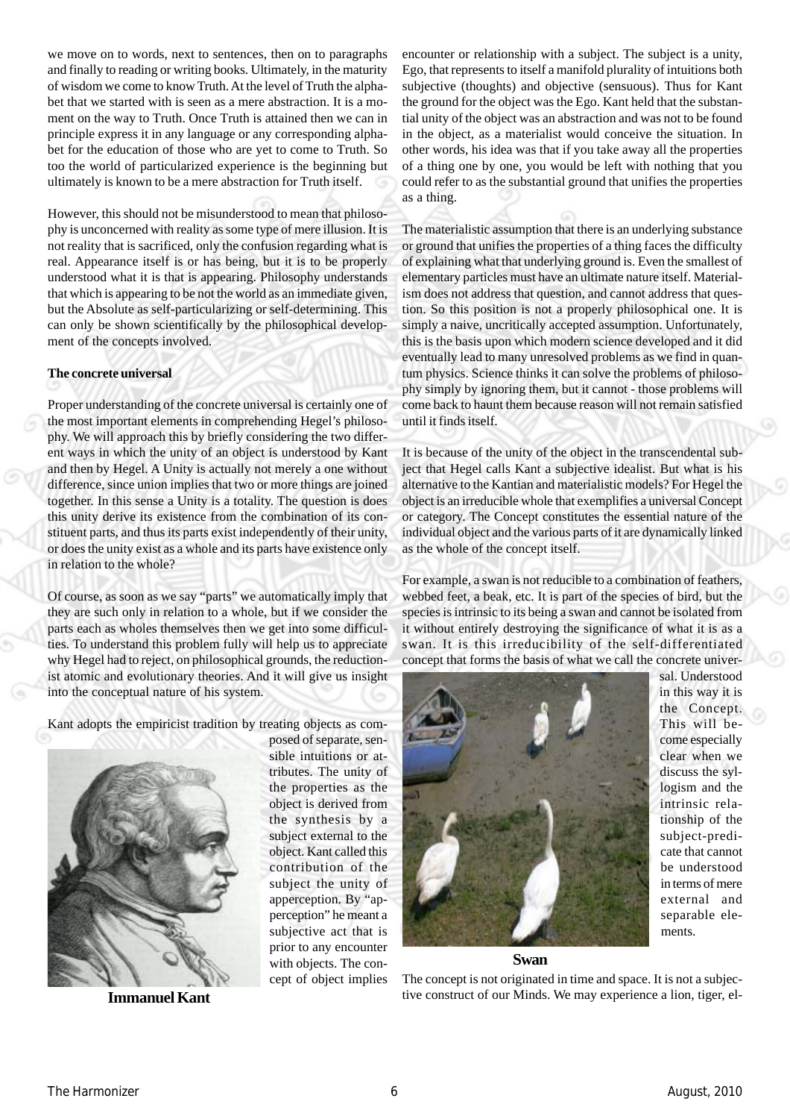we move on to words, next to sentences, then on to paragraphs and finally to reading or writing books. Ultimately, in the maturity of wisdom we come to know Truth. At the level of Truth the alphabet that we started with is seen as a mere abstraction. It is a moment on the way to Truth. Once Truth is attained then we can in principle express it in any language or any corresponding alphabet for the education of those who are yet to come to Truth. So too the world of particularized experience is the beginning but ultimately is known to be a mere abstraction for Truth itself.

However, this should not be misunderstood to mean that philosophy is unconcerned with reality as some type of mere illusion. It is not reality that is sacrificed, only the confusion regarding what is real. Appearance itself is or has being, but it is to be properly understood what it is that is appearing. Philosophy understands that which is appearing to be not the world as an immediate given, but the Absolute as self-particularizing or self-determining. This can only be shown scientifically by the philosophical development of the concepts involved.

### **The concrete universal**

Proper understanding of the concrete universal is certainly one of the most important elements in comprehending Hegel's philosophy. We will approach this by briefly considering the two different ways in which the unity of an object is understood by Kant and then by Hegel. A Unity is actually not merely a one without difference, since union implies that two or more things are joined together. In this sense a Unity is a totality. The question is does this unity derive its existence from the combination of its constituent parts, and thus its parts exist independently of their unity, or does the unity exist as a whole and its parts have existence only in relation to the whole?

Of course, as soon as we say "parts" we automatically imply that they are such only in relation to a whole, but if we consider the parts each as wholes themselves then we get into some difficulties. To understand this problem fully will help us to appreciate why Hegel had to reject, on philosophical grounds, the reductionist atomic and evolutionary theories. And it will give us insight into the conceptual nature of his system.

Kant adopts the empiricist tradition by treating objects as com-



posed of separate, sensible intuitions or attributes. The unity of the properties as the object is derived from the synthesis by a subject external to the object. Kant called this contribution of the subject the unity of apperception. By "apperception" he meant a subjective act that is prior to any encounter with objects. The concept of object implies encounter or relationship with a subject. The subject is a unity, Ego, that represents to itself a manifold plurality of intuitions both subjective (thoughts) and objective (sensuous). Thus for Kant the ground for the object was the Ego. Kant held that the substantial unity of the object was an abstraction and was not to be found in the object, as a materialist would conceive the situation. In other words, his idea was that if you take away all the properties of a thing one by one, you would be left with nothing that you could refer to as the substantial ground that unifies the properties as a thing.

The materialistic assumption that there is an underlying substance or ground that unifies the properties of a thing faces the difficulty of explaining what that underlying ground is. Even the smallest of elementary particles must have an ultimate nature itself. Materialism does not address that question, and cannot address that question. So this position is not a properly philosophical one. It is simply a naive, uncritically accepted assumption. Unfortunately, this is the basis upon which modern science developed and it did eventually lead to many unresolved problems as we find in quantum physics. Science thinks it can solve the problems of philosophy simply by ignoring them, but it cannot - those problems will come back to haunt them because reason will not remain satisfied until it finds itself.

It is because of the unity of the object in the transcendental subject that Hegel calls Kant a subjective idealist. But what is his alternative to the Kantian and materialistic models? For Hegel the object is an irreducible whole that exemplifies a universal Concept or category. The Concept constitutes the essential nature of the individual object and the various parts of it are dynamically linked as the whole of the concept itself.

For example, a swan is not reducible to a combination of feathers, webbed feet, a beak, etc. It is part of the species of bird, but the species is intrinsic to its being a swan and cannot be isolated from it without entirely destroying the significance of what it is as a swan. It is this irreducibility of the self-differentiated concept that forms the basis of what we call the concrete univer-



sal. Understood in this way it is the Concept. This will become especially clear when we discuss the syllogism and the intrinsic relationship of the subject-predicate that cannot be understood in terms of mere external and separable elements.

#### **Swan**

The concept is not originated in time and space. It is not a subjec-**Immanuel Kant Intervalle Construct** of our Minds. We may experience a lion, tiger, el